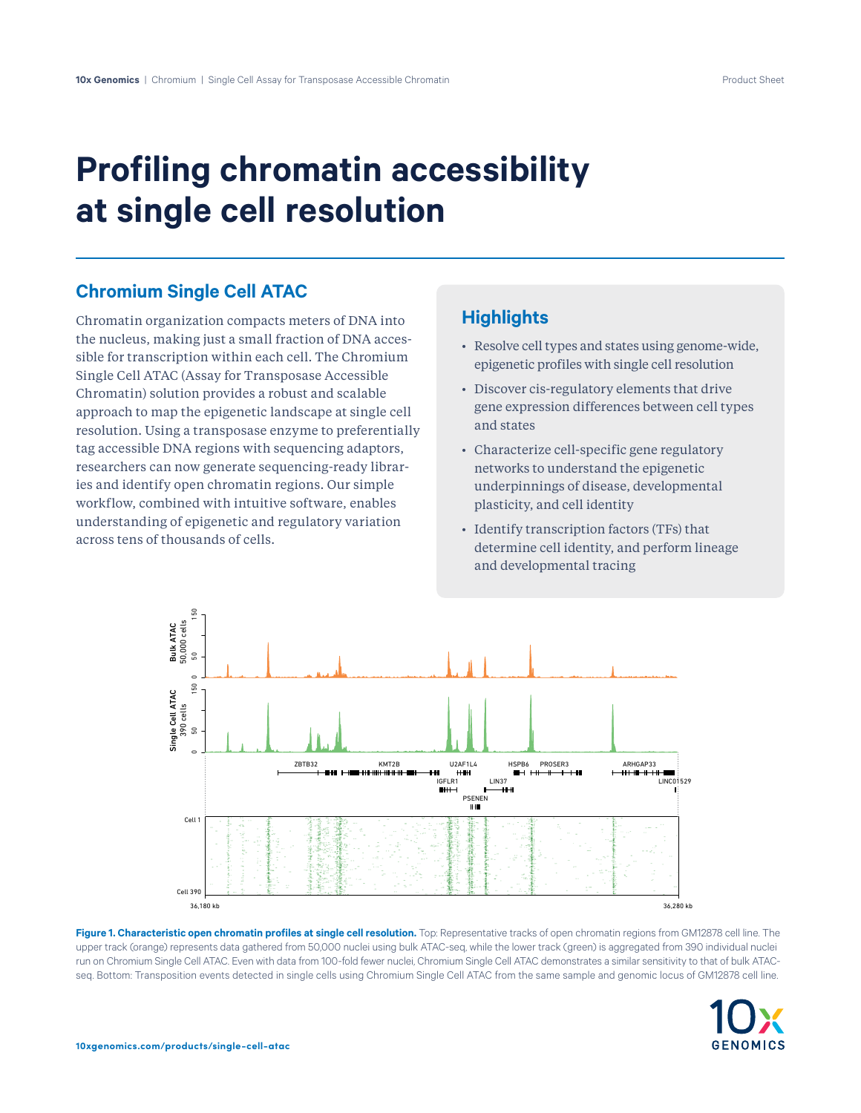# **Profiling chromatin accessibility at single cell resolution**

# **Chromium Single Cell ATAC**

Chromatin organization compacts meters of DNA into the nucleus, making just a small fraction of DNA accessible for transcription within each cell. The Chromium Single Cell ATAC (Assay for Transposase Accessible Chromatin) solution provides a robust and scalable approach to map the epigenetic landscape at single cell resolution. Using a transposase enzyme to preferentially tag accessible DNA regions with sequencing adaptors, researchers can now generate sequencing-ready libraries and identify open chromatin regions. Our simple workflow, combined with intuitive software, enables understanding of epigenetic and regulatory variation across tens of thousands of cells.

### **Highlights**

- Resolve cell types and states using genome-wide, epigenetic profiles with single cell resolution
- Discover cis-regulatory elements that drive gene expression differences between cell types and states
- Characterize cell-specific gene regulatory networks to understand the epigenetic underpinnings of disease, developmental plasticity, and cell identity
- Identify transcription factors (TFs) that determine cell identity, and perform lineage and developmental tracing



Figure 1. Characteristic open chromatin profiles at single cell resolution. Top: Representative tracks of open chromatin regions from GM12878 cell line. The upper track (orange) represents data gathered from 50,000 nuclei using bulk ATAC-seq, while the lower track (green) is aggregated from 390 individual nuclei run on Chromium Single Cell ATAC. Even with data from 100-fold fewer nuclei, Chromium Single Cell ATAC demonstrates a similar sensitivity to that of bulk ATACseq. Bottom: Transposition events detected in single cells using Chromium Single Cell ATAC from the same sample and genomic locus of GM12878 cell line. 0.<br>9 : tl<br>E es<br>0<br>0

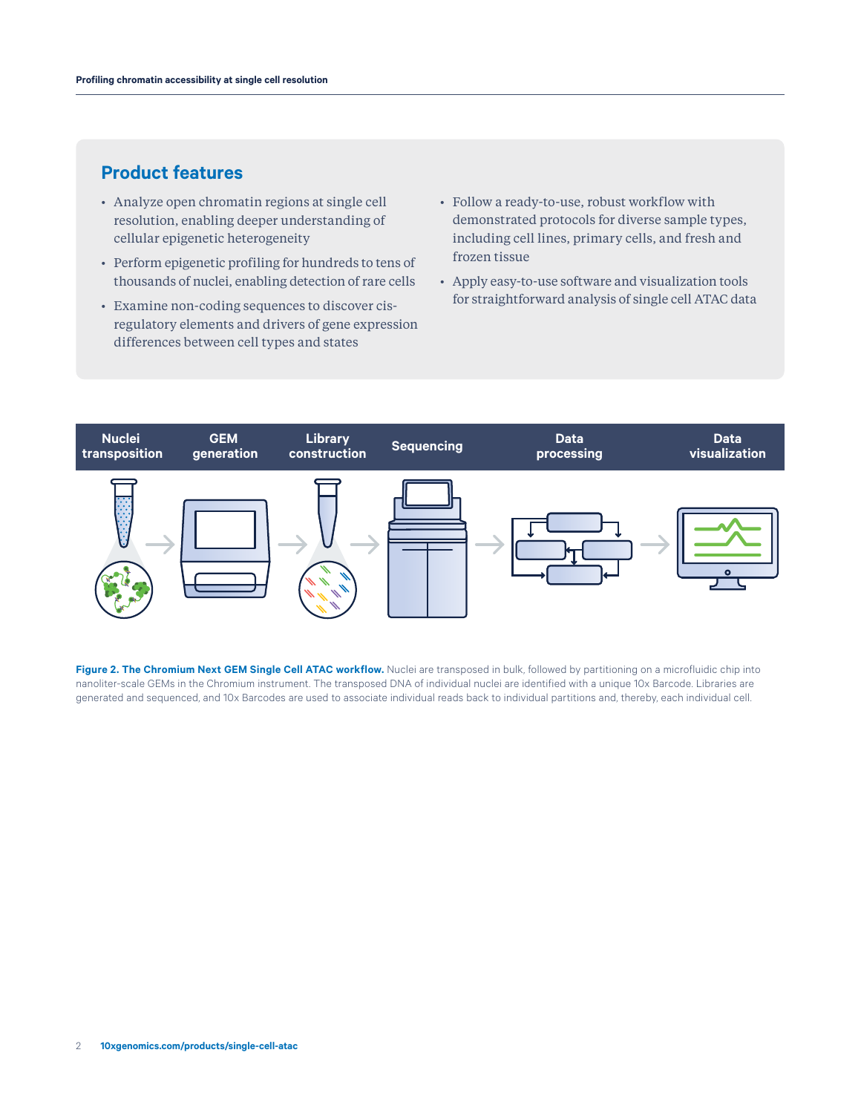# **Product features**

- Analyze open chromatin regions at single cell resolution, enabling deeper understanding of cellular epigenetic heterogeneity
- Perform epigenetic profiling for hundreds to tens of thousands of nuclei, enabling detection of rare cells
- Examine non-coding sequences to discover cisregulatory elements and drivers of gene expression differences between cell types and states
- Follow a ready-to-use, robust workflow with demonstrated protocols for diverse sample types, including cell lines, primary cells, and fresh and frozen tissue
- Apply easy-to-use software and visualization tools for straightforward analysis of single cell ATAC data



Figure 2. The Chromium Next GEM Single Cell ATAC workflow. Nuclei are transposed in bulk, followed by partitioning on a microfluidic chip into nanoliter-scale GEMs in the Chromium instrument. The transposed DNA of individual nuclei are identified with a unique 10x Barcode. Libraries are generated and sequenced, and 10x Barcodes are used to associate individual reads back to individual partitions and, thereby, each individual cell.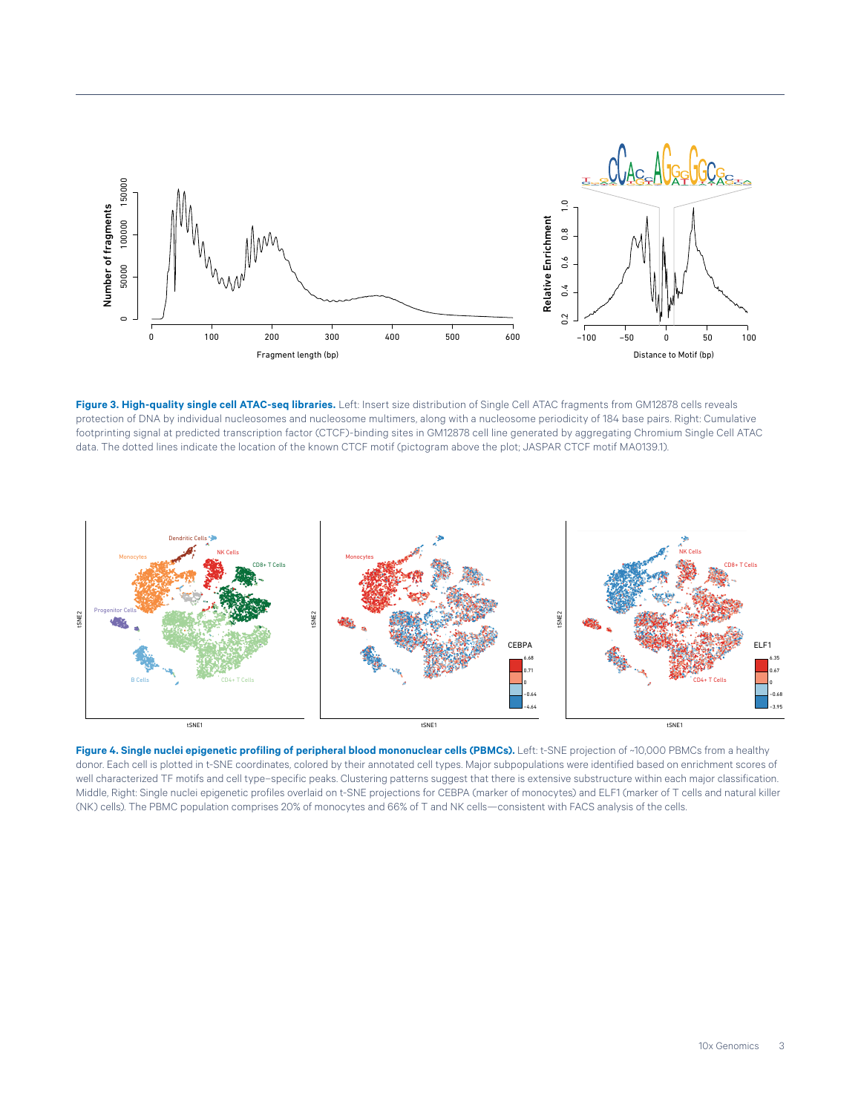

**Figure 3. High-quality single cell ATAC-seq libraries.** Left: Insert size distribution of Single Cell ATAC fragments from GM12878 cells reveals protection of DNA by individual nucleosomes and nucleosome multimers, along with a nucleosome periodicity of 184 base pairs. Right: Cumulative footprinting signal at predicted transcription factor (CTCF)-binding sites in GM12878 cell line generated by aggregating Chromium Single Cell ATAC data. The dotted lines indicate the location of the known CTCF motif (pictogram above the plot; JASPAR CTCF motif MA0139.1).



Figure 4. Single nuclei epigenetic profiling of peripheral blood mononuclear cells (PBMCs). Left: t-SNE projection of ~10,000 PBMCs from a healthy donor. Each cell is plotted in t-SNE coordinates, colored by their annotated cell types. Major subpopulations were identified based on enrichment scores of well characterized TF motifs and cell type–specific peaks. Clustering patterns suggest that there is extensive substructure within each major classification. Middle, Right: Single nuclei epigenetic profiles overlaid on t-SNE projections for CEBPA (marker of monocytes) and ELF1 (marker of T cells and natural killer (NK) cells). The PBMC population comprises 20% of monocytes and 66% of T and NK cells—consistent with FACS analysis of the cells.